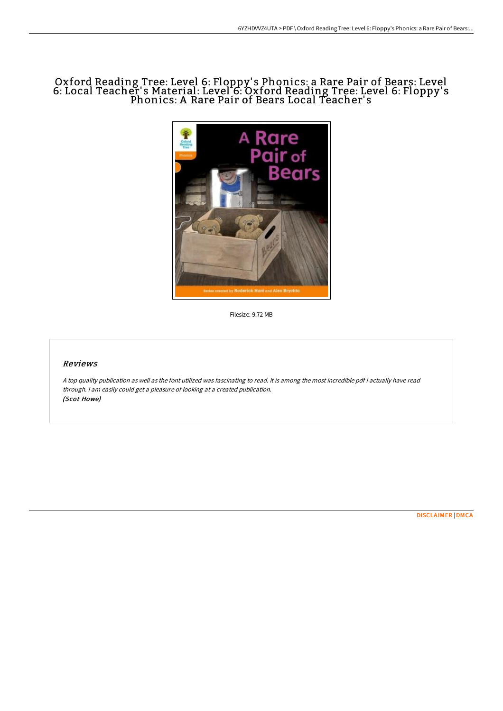# Oxford Reading Tree: Level 6: Floppy' s Phonics: a Rare Pair of Bears: Level 6: Local Teacher' s Material: Level 6: Oxford Reading Tree: Level 6: Floppy' s Phonics: A Rare Pair of Bears Local Teacher' s



Filesize: 9.72 MB

# Reviews

<sup>A</sup> top quality publication as well as the font utilized was fascinating to read. It is among the most incredible pdf i actually have read through. <sup>I</sup> am easily could get <sup>a</sup> pleasure of looking at <sup>a</sup> created publication. (Scot Howe)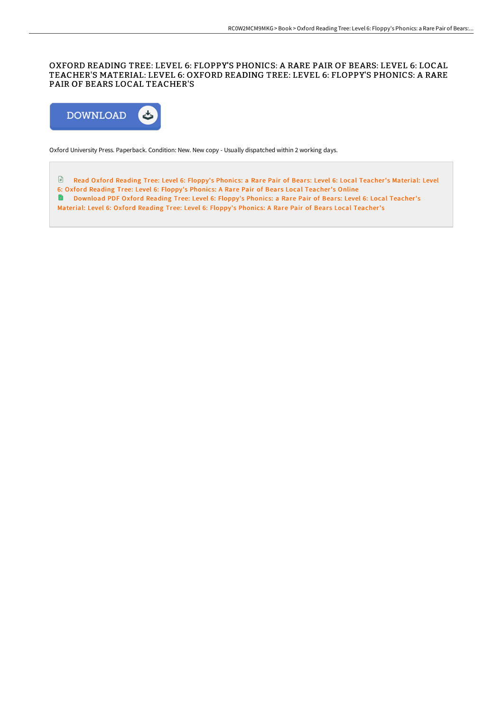## OXFORD READING TREE: LEVEL 6: FLOPPY'S PHONICS: A RARE PAIR OF BEARS: LEVEL 6: LOCAL TEACHER'S MATERIAL: LEVEL 6: OXFORD READING TREE: LEVEL 6: FLOPPY'S PHONICS: A RARE PAIR OF BEARS LOCAL TEACHER'S



Oxford University Press. Paperback. Condition: New. New copy - Usually dispatched within 2 working days.

E Read Oxford Reading Tree: Level 6: Floppy's Phonics: a Rare Pair of Bears: Level 6: Local [Teacher's](http://albedo.media/oxford-reading-tree-level-6-floppy-x27-s-phonics-1.html) Material: Level 6: Oxford Reading Tree: Level 6: Floppy's Phonics: A Rare Pair of Bears Local Teacher's Online

**[Download](http://albedo.media/oxford-reading-tree-level-6-floppy-x27-s-phonics-1.html) PDF Oxford Reading Tree: Level 6: Floppy's Phonics: a Rare Pair of Bears: Level 6: Local Teacher's** 

Material: Level 6: Oxford Reading Tree: Level 6: Floppy's Phonics: A Rare Pair of Bears Local Teacher's